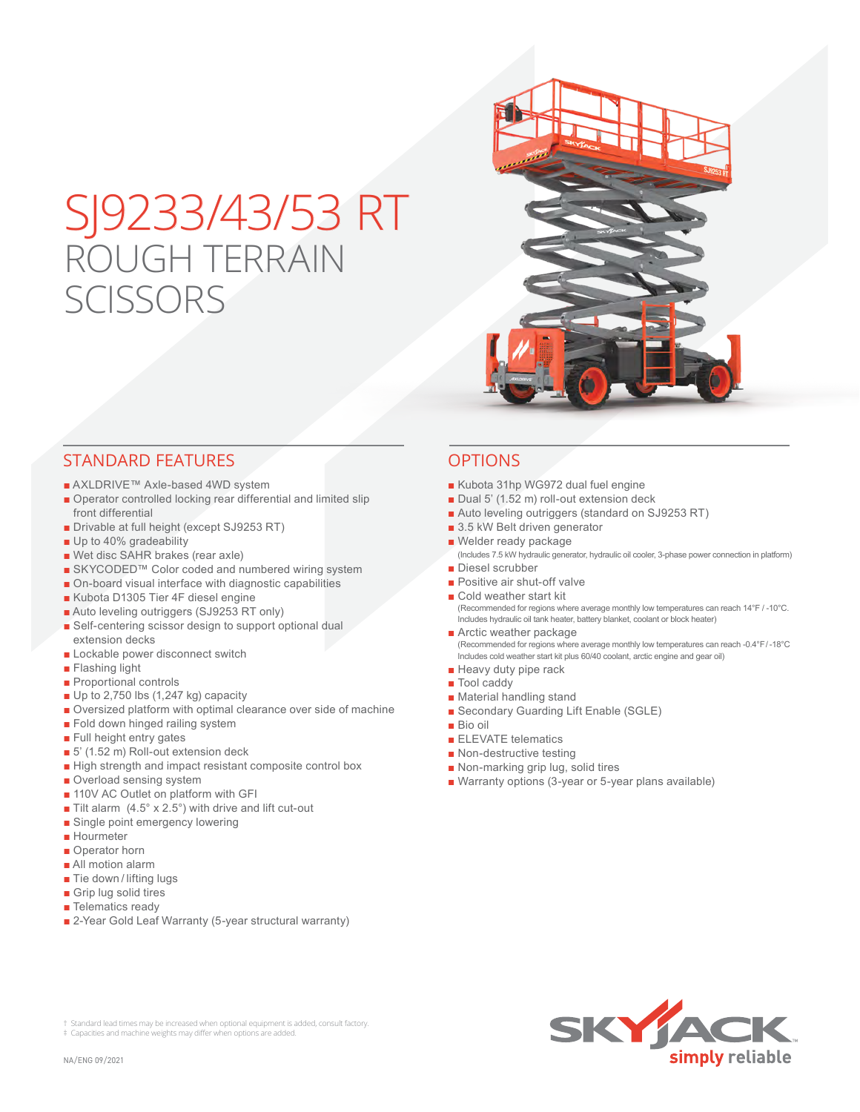# SJ9233/43/53 RT ROUGH TERRAIN **SCISSORS**



## STANDARD FEATURES OPTIONS

- AXLDRIVE™ Axle-based 4WD system
- Operator controlled locking rear differential and limited slip front differential
- Drivable at full height (except SJ9253 RT)
- Up to 40% gradeability
- Wet disc SAHR brakes (rear axle)
- SKYCODED™ Color coded and numbered wiring system
- On-board visual interface with diagnostic capabilities
- Kubota D1305 Tier 4F diesel engine
- Auto leveling outriggers (SJ9253 RT only)
- Self-centering scissor design to support optional dual extension decks
- Lockable power disconnect switch
- Flashing light
- Proportional controls
- Up to 2,750 lbs (1,247 kg) capacity
- Oversized platform with optimal clearance over side of machine
- Fold down hinged railing system
- Full height entry gates
- 5' (1.52 m) Roll-out extension deck
- High strength and impact resistant composite control box
- Overload sensing system
- 110V AC Outlet on platform with GFI
- Tilt alarm  $(4.5^\circ \times 2.5^\circ)$  with drive and lift cut-out
- Single point emergency lowering
- Hourmeter
- Operator horn
- All motion alarm
- Tie down / lifting lugs
- Grip lug solid tires
- Telematics ready
- 2-Year Gold Leaf Warranty (5-year structural warranty)

† Standard lead times may be increased when optional equipment is added, consult factory.

- Kubota 31hp WG972 dual fuel engine
- Dual 5' (1.52 m) roll-out extension deck
- Auto leveling outriggers (standard on SJ9253 RT)
- 3.5 kW Belt driven generator
- Welder ready package
- (Includes 7.5 kW hydraulic generator, hydraulic oil cooler, 3-phase power connection in platform) ■ Diesel scrubber
- 
- Positive air shut-off valve
- Cold weather start kit (Recommended for regions where average monthly low temperatures can reach 14°F / -10°C. Includes hydraulic oil tank heater, battery blanket, coolant or block heater)
- Arctic weather package (Recommended for regions where average monthly low temperatures can reach -0.4°F / -18°C Includes cold weather start kit plus 60/40 coolant, arctic engine and gear oil)
- Heavy duty pipe rack
- Tool caddy
- Material handling stand
- Secondary Guarding Lift Enable (SGLE)
- Bio oil
- ELEVATE telematics
- Non-destructive testing
- Non-marking grip lug, solid tires
- Warranty options (3-year or 5-year plans available)



‡ Capacities and machine weights may differ when options are added.